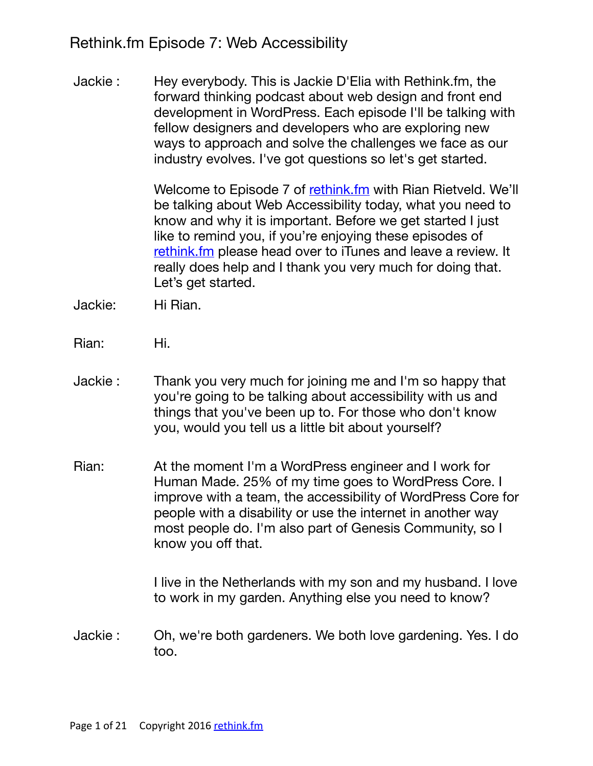Rethink.fm Episode 7: Web Accessibility

Jackie : Hey everybody. This is Jackie D'Elia with Rethink.fm, the forward thinking podcast about web design and front end development in WordPress. Each episode I'll be talking with fellow designers and developers who are exploring new ways to approach and solve the challenges we face as our industry evolves. I've got questions so let's get started.

> Welcome to Episode 7 of [rethink.fm](http://rethink.fm) with Rian Rietveld. We'll be talking about Web Accessibility today, what you need to know and why it is important. Before we get started I just like to remind you, if you're enjoying these episodes of [rethink.fm](http://rethink.fm) please head over to iTunes and leave a review. It really does help and I thank you very much for doing that. Let's get started.

- Jackie: Hi Rian.
- Rian: Hi.
- Jackie : Thank you very much for joining me and I'm so happy that you're going to be talking about accessibility with us and things that you've been up to. For those who don't know you, would you tell us a little bit about yourself?
- Rian: At the moment I'm a WordPress engineer and I work for Human Made. 25% of my time goes to WordPress Core. I improve with a team, the accessibility of WordPress Core for people with a disability or use the internet in another way most people do. I'm also part of Genesis Community, so I know you off that.

I live in the Netherlands with my son and my husband. I love to work in my garden. Anything else you need to know?

Jackie : Oh, we're both gardeners. We both love gardening. Yes. I do too.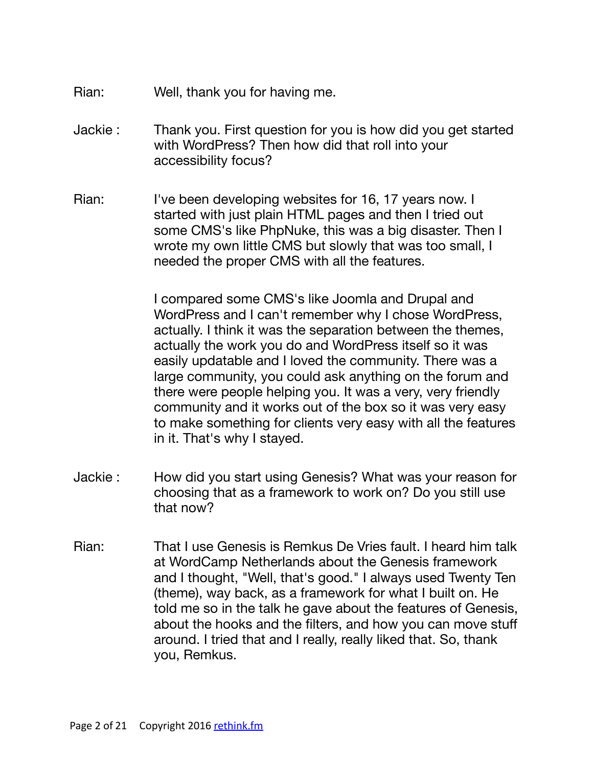- Rian: Well, thank you for having me.
- Jackie : Thank you. First question for you is how did you get started with WordPress? Then how did that roll into your accessibility focus?
- Rian: I've been developing websites for 16, 17 years now. I started with just plain HTML pages and then I tried out some CMS's like PhpNuke, this was a big disaster. Then I wrote my own little CMS but slowly that was too small, I needed the proper CMS with all the features.

I compared some CMS's like Joomla and Drupal and WordPress and I can't remember why I chose WordPress, actually. I think it was the separation between the themes, actually the work you do and WordPress itself so it was easily updatable and I loved the community. There was a large community, you could ask anything on the forum and there were people helping you. It was a very, very friendly community and it works out of the box so it was very easy to make something for clients very easy with all the features in it. That's why I stayed.

- Jackie : How did you start using Genesis? What was your reason for choosing that as a framework to work on? Do you still use that now?
- Rian: That I use Genesis is Remkus De Vries fault. I heard him talk at WordCamp Netherlands about the Genesis framework and I thought, "Well, that's good." I always used Twenty Ten (theme), way back, as a framework for what I built on. He told me so in the talk he gave about the features of Genesis, about the hooks and the filters, and how you can move stuff around. I tried that and I really, really liked that. So, thank you, Remkus.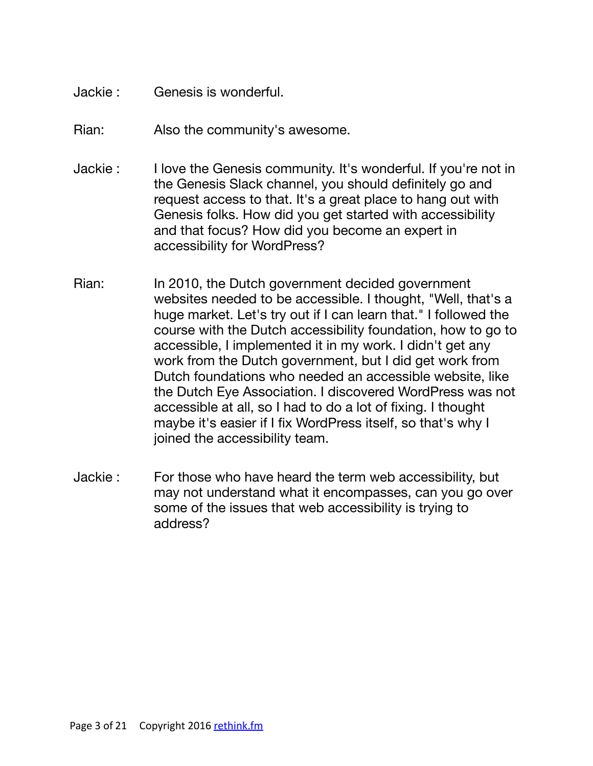- Jackie : Genesis is wonderful.
- Rian: Also the community's awesome.
- Jackie : I love the Genesis community. It's wonderful. If you're not in the Genesis Slack channel, you should definitely go and request access to that. It's a great place to hang out with Genesis folks. How did you get started with accessibility and that focus? How did you become an expert in accessibility for WordPress?
- Rian: In 2010, the Dutch government decided government websites needed to be accessible. I thought, "Well, that's a huge market. Let's try out if I can learn that." I followed the course with the Dutch accessibility foundation, how to go to accessible, I implemented it in my work. I didn't get any work from the Dutch government, but I did get work from Dutch foundations who needed an accessible website, like the Dutch Eye Association. I discovered WordPress was not accessible at all, so I had to do a lot of fixing. I thought maybe it's easier if I fix WordPress itself, so that's why I joined the accessibility team.
- Jackie : For those who have heard the term web accessibility, but may not understand what it encompasses, can you go over some of the issues that web accessibility is trying to address?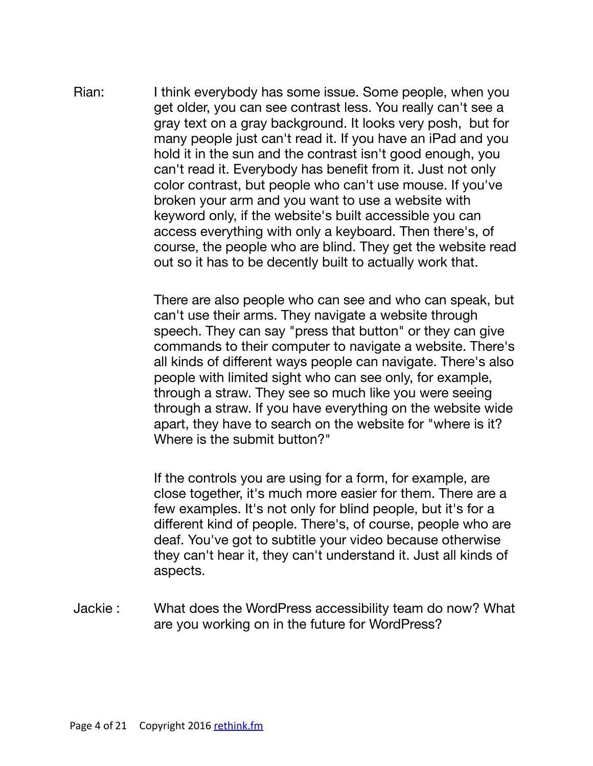Rian: I think everybody has some issue. Some people, when you get older, you can see contrast less. You really can't see a gray text on a gray background. It looks very posh, but for many people just can't read it. If you have an iPad and you hold it in the sun and the contrast isn't good enough, you can't read it. Everybody has benefit from it. Just not only color contrast, but people who can't use mouse. If you've broken your arm and you want to use a website with keyword only, if the website's built accessible you can access everything with only a keyboard. Then there's, of course, the people who are blind. They get the website read out so it has to be decently built to actually work that.

> There are also people who can see and who can speak, but can't use their arms. They navigate a website through speech. They can say "press that button" or they can give commands to their computer to navigate a website. There's all kinds of different ways people can navigate. There's also people with limited sight who can see only, for example, through a straw. They see so much like you were seeing through a straw. If you have everything on the website wide apart, they have to search on the website for "where is it? Where is the submit button?"

If the controls you are using for a form, for example, are close together, it's much more easier for them. There are a few examples. It's not only for blind people, but it's for a different kind of people. There's, of course, people who are deaf. You've got to subtitle your video because otherwise they can't hear it, they can't understand it. Just all kinds of aspects.

Jackie : What does the WordPress accessibility team do now? What are you working on in the future for WordPress?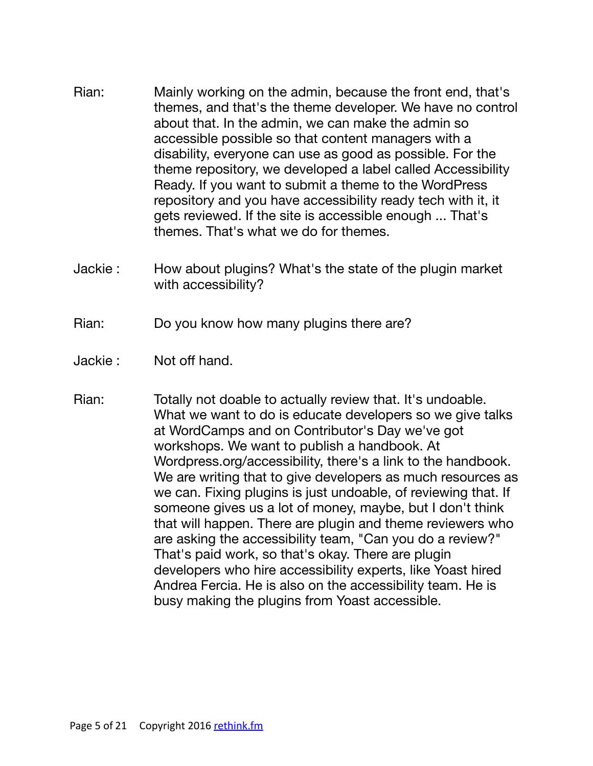- Rian: Mainly working on the admin, because the front end, that's themes, and that's the theme developer. We have no control about that. In the admin, we can make the admin so accessible possible so that content managers with a disability, everyone can use as good as possible. For the theme repository, we developed a label called Accessibility Ready. If you want to submit a theme to the WordPress repository and you have accessibility ready tech with it, it gets reviewed. If the site is accessible enough ... That's themes. That's what we do for themes.
- Jackie : How about plugins? What's the state of the plugin market with accessibility?

Rian: Do you know how many plugins there are?

- Jackie : Not off hand.
- Rian: Totally not doable to actually review that. It's undoable. What we want to do is educate developers so we give talks at WordCamps and on Contributor's Day we've got workshops. We want to publish a handbook. At Wordpress.org/accessibility, there's a link to the handbook. We are writing that to give developers as much resources as we can. Fixing plugins is just undoable, of reviewing that. If someone gives us a lot of money, maybe, but I don't think that will happen. There are plugin and theme reviewers who are asking the accessibility team, "Can you do a review?" That's paid work, so that's okay. There are plugin developers who hire accessibility experts, like Yoast hired Andrea Fercia. He is also on the accessibility team. He is busy making the plugins from Yoast accessible.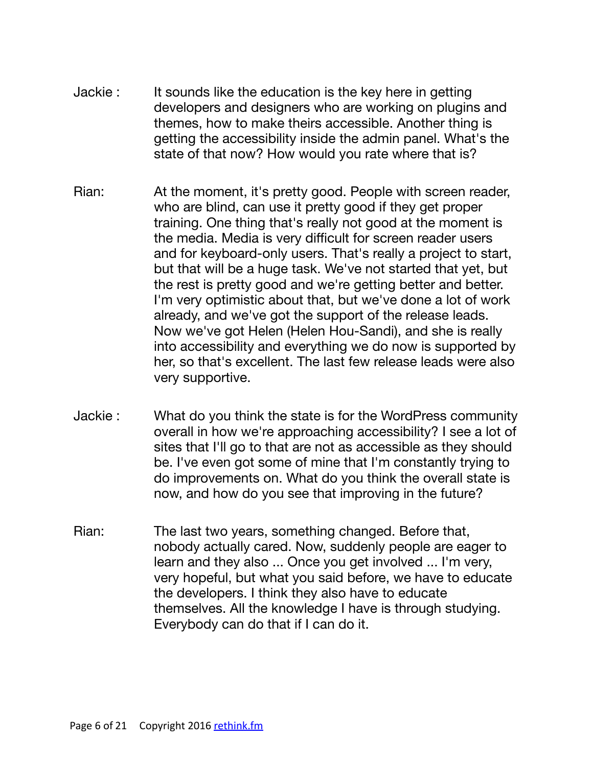- Jackie : It sounds like the education is the key here in getting developers and designers who are working on plugins and themes, how to make theirs accessible. Another thing is getting the accessibility inside the admin panel. What's the state of that now? How would you rate where that is?
- Rian: At the moment, it's pretty good. People with screen reader, who are blind, can use it pretty good if they get proper training. One thing that's really not good at the moment is the media. Media is very difficult for screen reader users and for keyboard-only users. That's really a project to start, but that will be a huge task. We've not started that yet, but the rest is pretty good and we're getting better and better. I'm very optimistic about that, but we've done a lot of work already, and we've got the support of the release leads. Now we've got Helen (Helen Hou-Sandi), and she is really into accessibility and everything we do now is supported by her, so that's excellent. The last few release leads were also very supportive.
- Jackie : What do you think the state is for the WordPress community overall in how we're approaching accessibility? I see a lot of sites that I'll go to that are not as accessible as they should be. I've even got some of mine that I'm constantly trying to do improvements on. What do you think the overall state is now, and how do you see that improving in the future?
- Rian: The last two years, something changed. Before that, nobody actually cared. Now, suddenly people are eager to learn and they also ... Once you get involved ... I'm very, very hopeful, but what you said before, we have to educate the developers. I think they also have to educate themselves. All the knowledge I have is through studying. Everybody can do that if I can do it.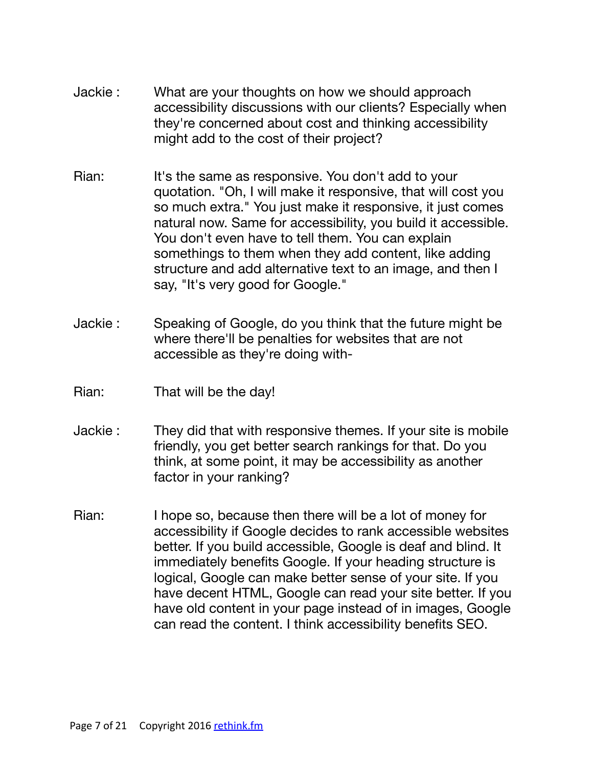- Jackie : What are your thoughts on how we should approach accessibility discussions with our clients? Especially when they're concerned about cost and thinking accessibility might add to the cost of their project?
- Rian: It's the same as responsive. You don't add to your quotation. "Oh, I will make it responsive, that will cost you so much extra." You just make it responsive, it just comes natural now. Same for accessibility, you build it accessible. You don't even have to tell them. You can explain somethings to them when they add content, like adding structure and add alternative text to an image, and then I say, "It's very good for Google."
- Jackie : Speaking of Google, do you think that the future might be where there'll be penalties for websites that are not accessible as they're doing with-
- Rian: That will be the day!
- Jackie : They did that with responsive themes. If your site is mobile friendly, you get better search rankings for that. Do you think, at some point, it may be accessibility as another factor in your ranking?
- Rian: I hope so, because then there will be a lot of money for accessibility if Google decides to rank accessible websites better. If you build accessible, Google is deaf and blind. It immediately benefits Google. If your heading structure is logical, Google can make better sense of your site. If you have decent HTML, Google can read your site better. If you have old content in your page instead of in images, Google can read the content. I think accessibility benefits SEO.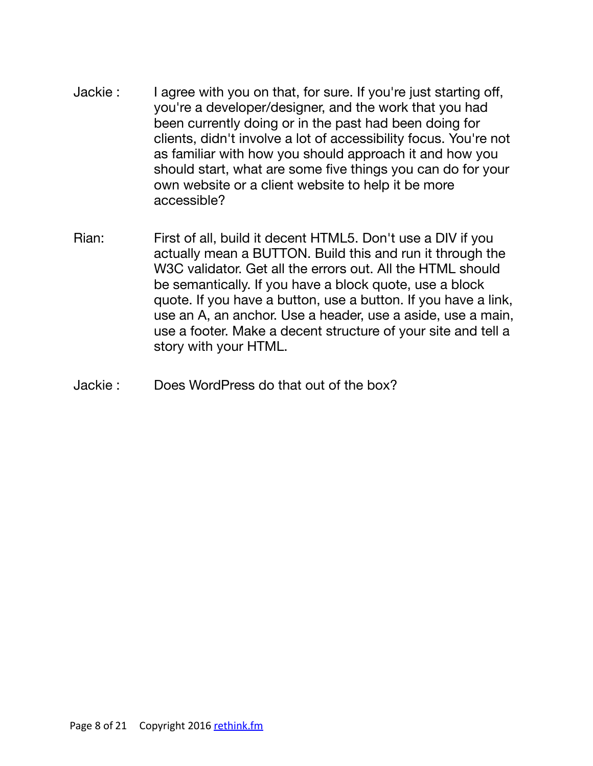- Jackie : I agree with you on that, for sure. If you're just starting off, you're a developer/designer, and the work that you had been currently doing or in the past had been doing for clients, didn't involve a lot of accessibility focus. You're not as familiar with how you should approach it and how you should start, what are some five things you can do for your own website or a client website to help it be more accessible?
- Rian: First of all, build it decent HTML5. Don't use a DIV if you actually mean a BUTTON. Build this and run it through the W3C validator. Get all the errors out. All the HTML should be semantically. If you have a block quote, use a block quote. If you have a button, use a button. If you have a link, use an A, an anchor. Use a header, use a aside, use a main, use a footer. Make a decent structure of your site and tell a story with your HTML.
- Jackie : Does WordPress do that out of the box?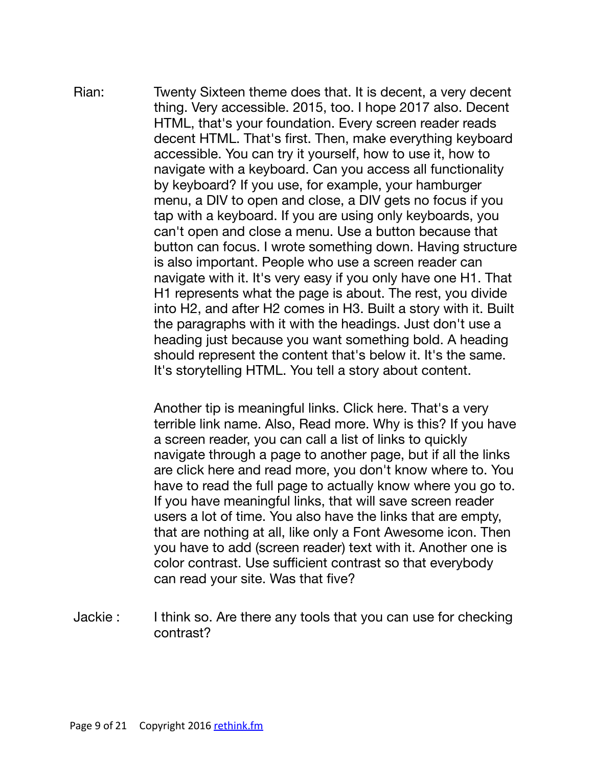Rian: Twenty Sixteen theme does that. It is decent, a very decent thing. Very accessible. 2015, too. I hope 2017 also. Decent HTML, that's your foundation. Every screen reader reads decent HTML. That's first. Then, make everything keyboard accessible. You can try it yourself, how to use it, how to navigate with a keyboard. Can you access all functionality by keyboard? If you use, for example, your hamburger menu, a DIV to open and close, a DIV gets no focus if you tap with a keyboard. If you are using only keyboards, you can't open and close a menu. Use a button because that button can focus. I wrote something down. Having structure is also important. People who use a screen reader can navigate with it. It's very easy if you only have one H1. That H1 represents what the page is about. The rest, you divide into H2, and after H2 comes in H3. Built a story with it. Built the paragraphs with it with the headings. Just don't use a heading just because you want something bold. A heading should represent the content that's below it. It's the same. It's storytelling HTML. You tell a story about content.

> Another tip is meaningful links. Click here. That's a very terrible link name. Also, Read more. Why is this? If you have a screen reader, you can call a list of links to quickly navigate through a page to another page, but if all the links are click here and read more, you don't know where to. You have to read the full page to actually know where you go to. If you have meaningful links, that will save screen reader users a lot of time. You also have the links that are empty, that are nothing at all, like only a Font Awesome icon. Then you have to add (screen reader) text with it. Another one is color contrast. Use sufficient contrast so that everybody can read your site. Was that five?

Jackie : I think so. Are there any tools that you can use for checking contrast?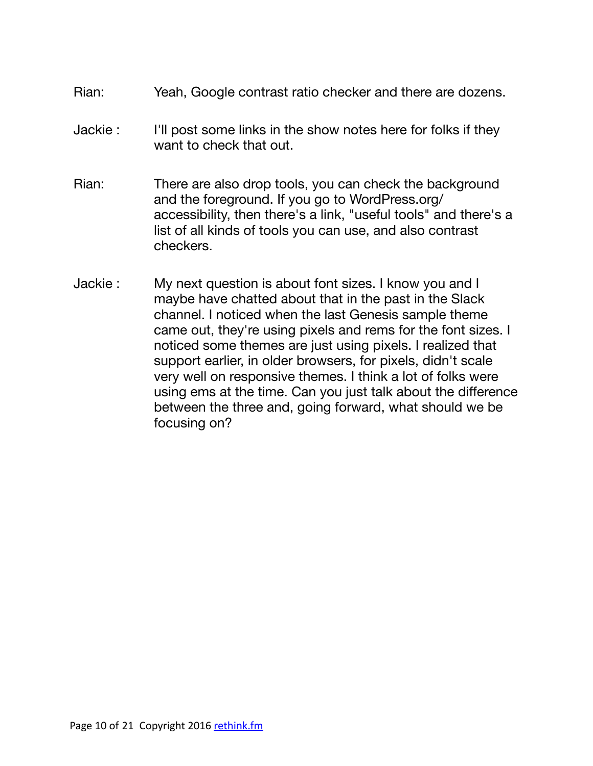- Rian: Yeah, Google contrast ratio checker and there are dozens.
- Jackie : I'll post some links in the show notes here for folks if they want to check that out.
- Rian: There are also drop tools, you can check the background and the foreground. If you go to WordPress.org/ accessibility, then there's a link, "useful tools" and there's a list of all kinds of tools you can use, and also contrast checkers.
- Jackie : My next question is about font sizes. I know you and I maybe have chatted about that in the past in the Slack channel. I noticed when the last Genesis sample theme came out, they're using pixels and rems for the font sizes. I noticed some themes are just using pixels. I realized that support earlier, in older browsers, for pixels, didn't scale very well on responsive themes. I think a lot of folks were using ems at the time. Can you just talk about the difference between the three and, going forward, what should we be focusing on?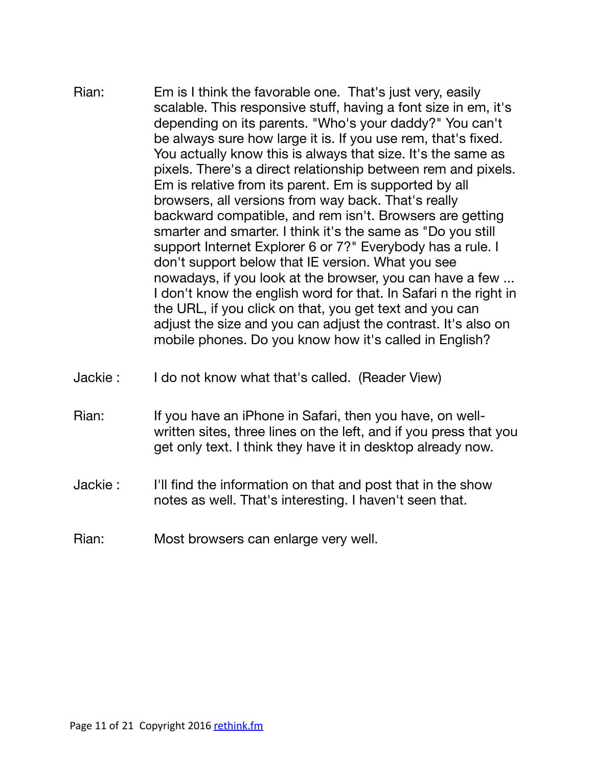- Rian: Em is I think the favorable one. That's just very, easily scalable. This responsive stuff, having a font size in em, it's depending on its parents. "Who's your daddy?" You can't be always sure how large it is. If you use rem, that's fixed. You actually know this is always that size. It's the same as pixels. There's a direct relationship between rem and pixels. Em is relative from its parent. Em is supported by all browsers, all versions from way back. That's really backward compatible, and rem isn't. Browsers are getting smarter and smarter. I think it's the same as "Do you still support Internet Explorer 6 or 7?" Everybody has a rule. I don't support below that IE version. What you see nowadays, if you look at the browser, you can have a few ... I don't know the english word for that. In Safari n the right in the URL, if you click on that, you get text and you can adjust the size and you can adjust the contrast. It's also on mobile phones. Do you know how it's called in English?
- Jackie : I do not know what that's called. (Reader View)
- Rian: If you have an iPhone in Safari, then you have, on wellwritten sites, three lines on the left, and if you press that you get only text. I think they have it in desktop already now.
- Jackie : I'll find the information on that and post that in the show notes as well. That's interesting. I haven't seen that.
- Rian: Most browsers can enlarge very well.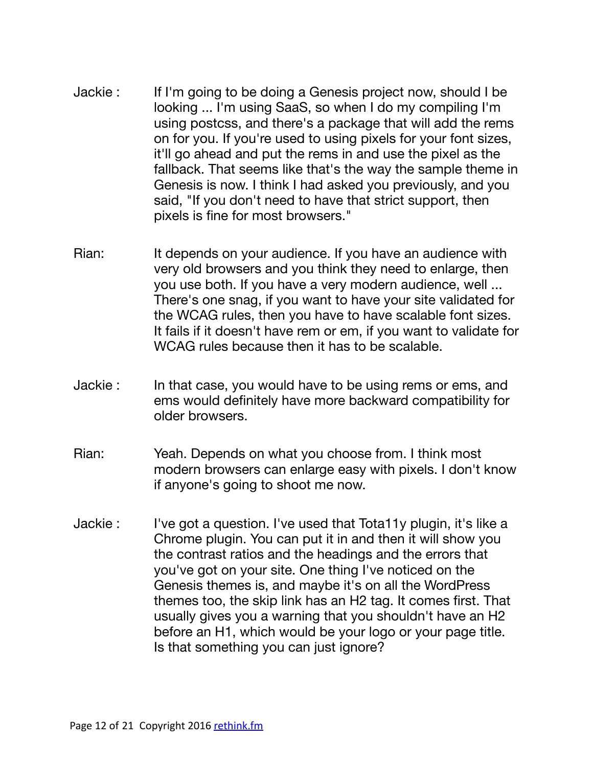- Jackie : If I'm going to be doing a Genesis project now, should I be looking ... I'm using SaaS, so when I do my compiling I'm using postcss, and there's a package that will add the rems on for you. If you're used to using pixels for your font sizes, it'll go ahead and put the rems in and use the pixel as the fallback. That seems like that's the way the sample theme in Genesis is now. I think I had asked you previously, and you said, "If you don't need to have that strict support, then pixels is fine for most browsers."
- Rian: It depends on your audience. If you have an audience with very old browsers and you think they need to enlarge, then you use both. If you have a very modern audience, well ... There's one snag, if you want to have your site validated for the WCAG rules, then you have to have scalable font sizes. It fails if it doesn't have rem or em, if you want to validate for WCAG rules because then it has to be scalable.
- Jackie : In that case, you would have to be using rems or ems, and ems would definitely have more backward compatibility for older browsers.
- Rian: Yeah. Depends on what you choose from. I think most modern browsers can enlarge easy with pixels. I don't know if anyone's going to shoot me now.
- Jackie : I've got a question. I've used that Tota11y plugin, it's like a Chrome plugin. You can put it in and then it will show you the contrast ratios and the headings and the errors that you've got on your site. One thing I've noticed on the Genesis themes is, and maybe it's on all the WordPress themes too, the skip link has an H2 tag. It comes first. That usually gives you a warning that you shouldn't have an H2 before an H1, which would be your logo or your page title. Is that something you can just ignore?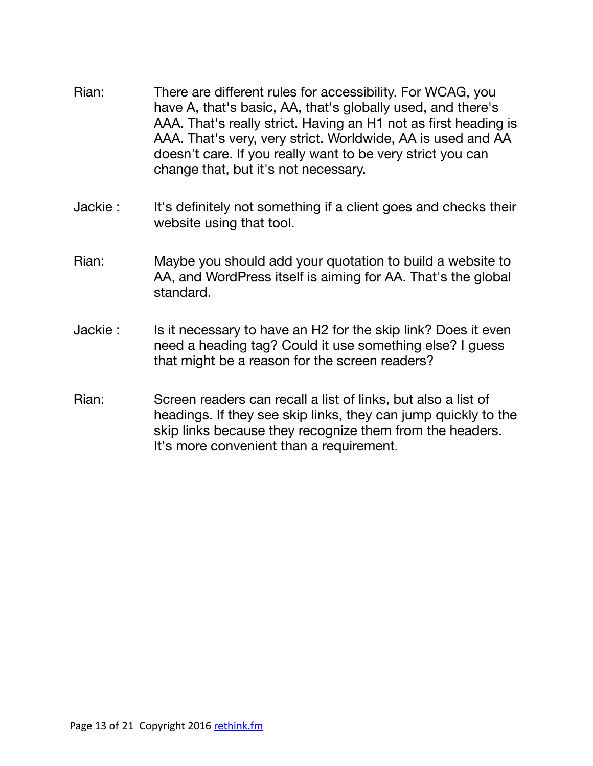- Rian: There are different rules for accessibility. For WCAG, you have A, that's basic, AA, that's globally used, and there's AAA. That's really strict. Having an H1 not as first heading is AAA. That's very, very strict. Worldwide, AA is used and AA doesn't care. If you really want to be very strict you can change that, but it's not necessary.
- Jackie : It's definitely not something if a client goes and checks their website using that tool.
- Rian: Maybe you should add your quotation to build a website to AA, and WordPress itself is aiming for AA. That's the global standard.
- Jackie : Is it necessary to have an H2 for the skip link? Does it even need a heading tag? Could it use something else? I guess that might be a reason for the screen readers?
- Rian: Screen readers can recall a list of links, but also a list of headings. If they see skip links, they can jump quickly to the skip links because they recognize them from the headers. It's more convenient than a requirement.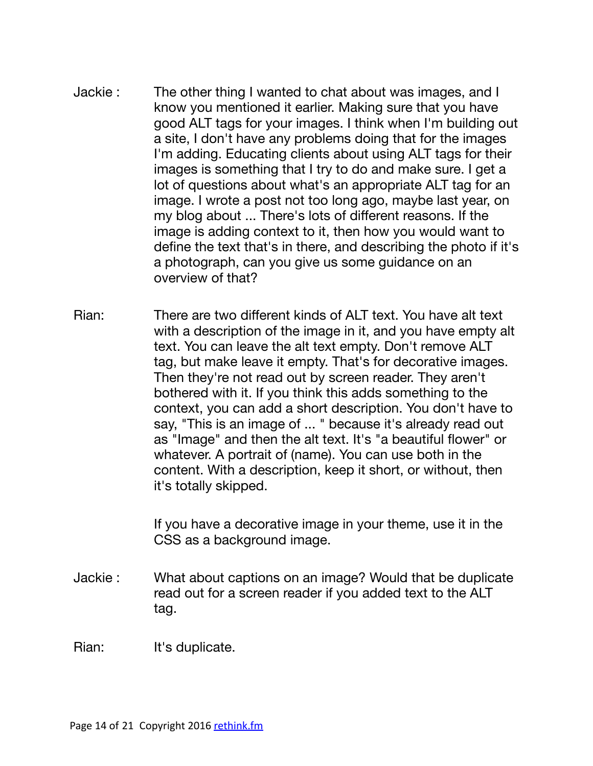- Jackie : The other thing I wanted to chat about was images, and I know you mentioned it earlier. Making sure that you have good ALT tags for your images. I think when I'm building out a site, I don't have any problems doing that for the images I'm adding. Educating clients about using ALT tags for their images is something that I try to do and make sure. I get a lot of questions about what's an appropriate ALT tag for an image. I wrote a post not too long ago, maybe last year, on my blog about ... There's lots of different reasons. If the image is adding context to it, then how you would want to define the text that's in there, and describing the photo if it's a photograph, can you give us some guidance on an overview of that?
- Rian: There are two different kinds of ALT text. You have alt text with a description of the image in it, and you have empty alt text. You can leave the alt text empty. Don't remove ALT tag, but make leave it empty. That's for decorative images. Then they're not read out by screen reader. They aren't bothered with it. If you think this adds something to the context, you can add a short description. You don't have to say, "This is an image of ... " because it's already read out as "Image" and then the alt text. It's "a beautiful flower" or whatever. A portrait of (name). You can use both in the content. With a description, keep it short, or without, then it's totally skipped.

If you have a decorative image in your theme, use it in the CSS as a background image.

Jackie : What about captions on an image? Would that be duplicate read out for a screen reader if you added text to the ALT tag.

Rian: It's duplicate.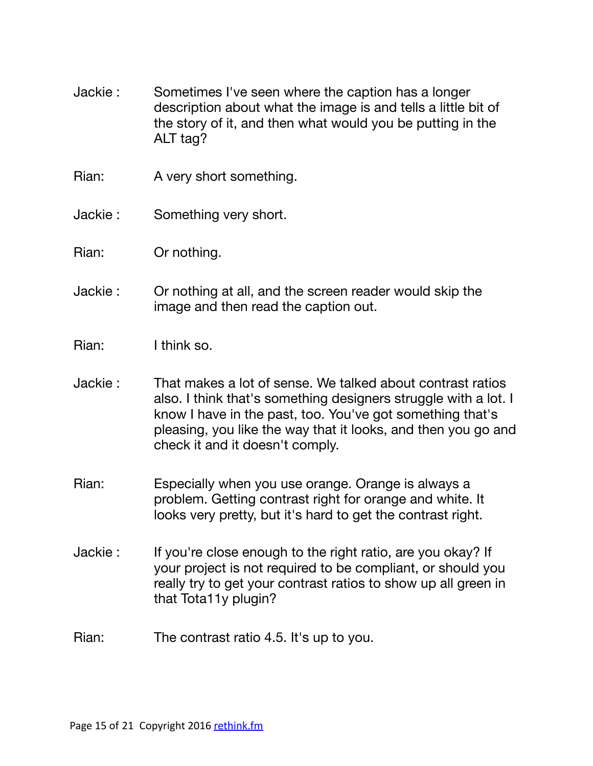- Jackie : Sometimes I've seen where the caption has a longer description about what the image is and tells a little bit of the story of it, and then what would you be putting in the ALT tag?
- Rian: A very short something.
- Jackie : Something very short.
- Rian: Or nothing.
- Jackie : Or nothing at all, and the screen reader would skip the image and then read the caption out.
- Rian: I think so.
- Jackie : That makes a lot of sense. We talked about contrast ratios also. I think that's something designers struggle with a lot. I know I have in the past, too. You've got something that's pleasing, you like the way that it looks, and then you go and check it and it doesn't comply.
- Rian: Especially when you use orange. Orange is always a problem. Getting contrast right for orange and white. It looks very pretty, but it's hard to get the contrast right.
- Jackie : If you're close enough to the right ratio, are you okay? If your project is not required to be compliant, or should you really try to get your contrast ratios to show up all green in that Tota11y plugin?
- Rian: The contrast ratio 4.5. It's up to you.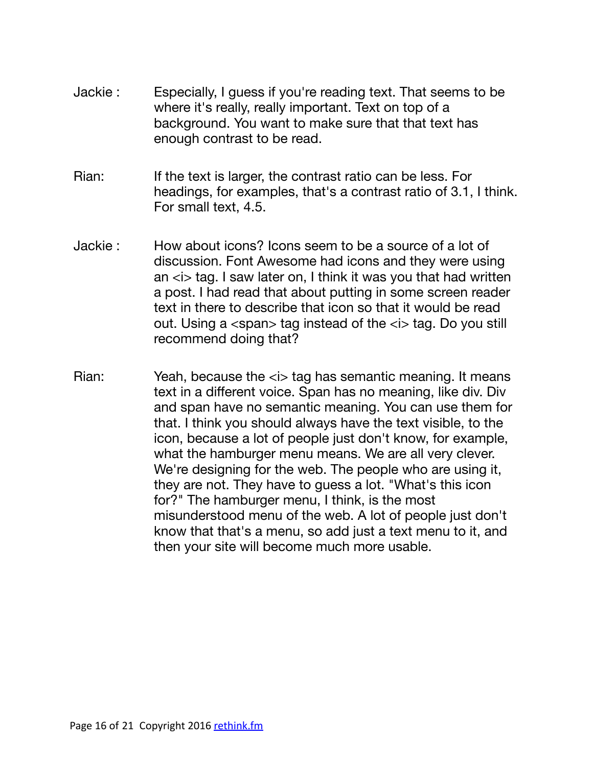- Jackie : Especially, I guess if you're reading text. That seems to be where it's really, really important. Text on top of a background. You want to make sure that that text has enough contrast to be read.
- Rian: If the text is larger, the contrast ratio can be less. For headings, for examples, that's a contrast ratio of 3.1, I think. For small text, 4.5.
- Jackie : How about icons? Icons seem to be a source of a lot of discussion. Font Awesome had icons and they were using an  $\langle i \rangle$  tag. I saw later on, I think it was you that had written a post. I had read that about putting in some screen reader text in there to describe that icon so that it would be read out. Using a  $\langle$ span $\rangle$  tag instead of the  $\langle$ i $\rangle$  tag. Do you still recommend doing that?
- Rian: Yeah, because the *ki* tag has semantic meaning. It means text in a different voice. Span has no meaning, like div. Div and span have no semantic meaning. You can use them for that. I think you should always have the text visible, to the icon, because a lot of people just don't know, for example, what the hamburger menu means. We are all very clever. We're designing for the web. The people who are using it, they are not. They have to guess a lot. "What's this icon for?" The hamburger menu, I think, is the most misunderstood menu of the web. A lot of people just don't know that that's a menu, so add just a text menu to it, and then your site will become much more usable.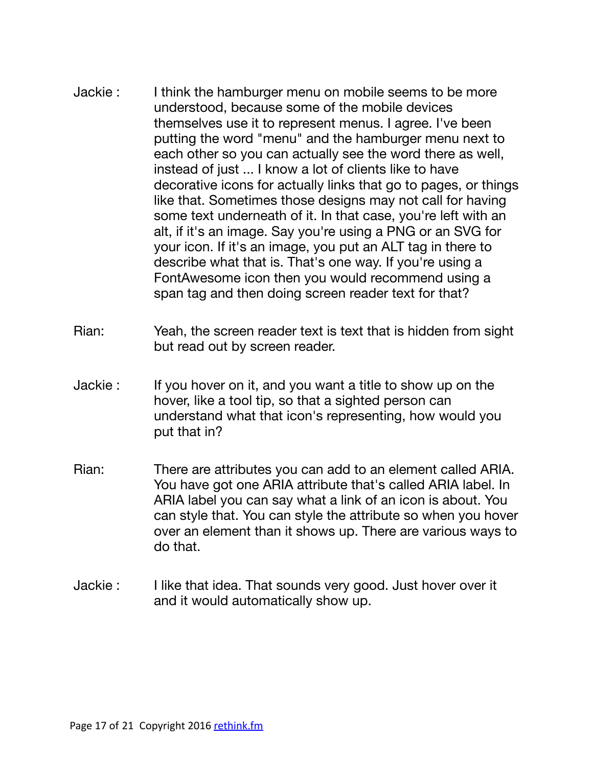- Jackie : I think the hamburger menu on mobile seems to be more understood, because some of the mobile devices themselves use it to represent menus. I agree. I've been putting the word "menu" and the hamburger menu next to each other so you can actually see the word there as well, instead of just ... I know a lot of clients like to have decorative icons for actually links that go to pages, or things like that. Sometimes those designs may not call for having some text underneath of it. In that case, you're left with an alt, if it's an image. Say you're using a PNG or an SVG for your icon. If it's an image, you put an ALT tag in there to describe what that is. That's one way. If you're using a FontAwesome icon then you would recommend using a span tag and then doing screen reader text for that?
- Rian: Yeah, the screen reader text is text that is hidden from sight but read out by screen reader.
- Jackie : If you hover on it, and you want a title to show up on the hover, like a tool tip, so that a sighted person can understand what that icon's representing, how would you put that in?
- Rian: There are attributes you can add to an element called ARIA. You have got one ARIA attribute that's called ARIA label. In ARIA label you can say what a link of an icon is about. You can style that. You can style the attribute so when you hover over an element than it shows up. There are various ways to do that.
- Jackie : I like that idea. That sounds very good. Just hover over it and it would automatically show up.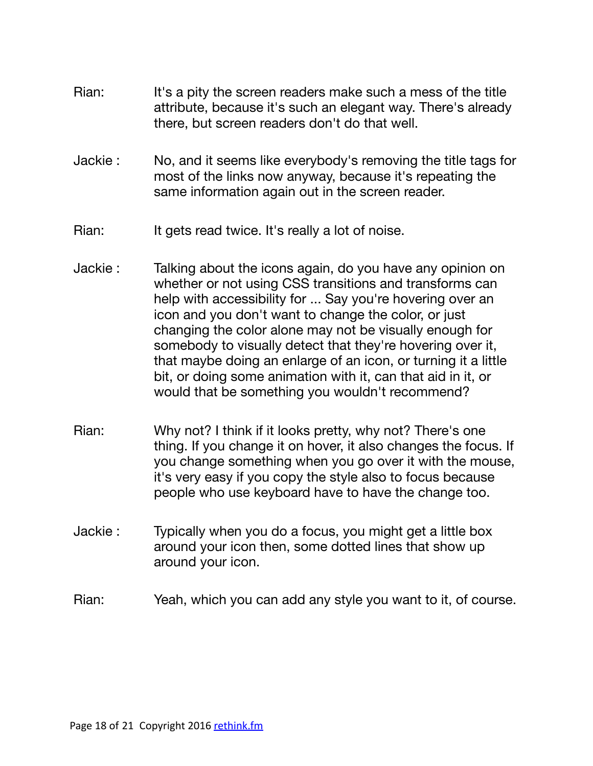- Rian: It's a pity the screen readers make such a mess of the title attribute, because it's such an elegant way. There's already there, but screen readers don't do that well.
- Jackie : No, and it seems like everybody's removing the title tags for most of the links now anyway, because it's repeating the same information again out in the screen reader.
- Rian: It gets read twice. It's really a lot of noise.
- Jackie : Talking about the icons again, do you have any opinion on whether or not using CSS transitions and transforms can help with accessibility for ... Say you're hovering over an icon and you don't want to change the color, or just changing the color alone may not be visually enough for somebody to visually detect that they're hovering over it, that maybe doing an enlarge of an icon, or turning it a little bit, or doing some animation with it, can that aid in it, or would that be something you wouldn't recommend?
- Rian: Why not? I think if it looks pretty, why not? There's one thing. If you change it on hover, it also changes the focus. If you change something when you go over it with the mouse, it's very easy if you copy the style also to focus because people who use keyboard have to have the change too.
- Jackie : Typically when you do a focus, you might get a little box around your icon then, some dotted lines that show up around your icon.
- Rian: Yeah, which you can add any style you want to it, of course.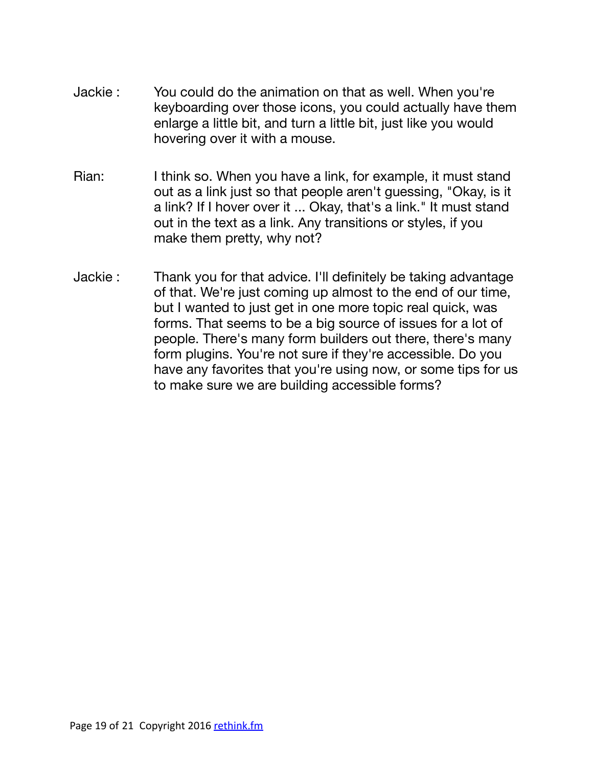- Jackie : You could do the animation on that as well. When you're keyboarding over those icons, you could actually have them enlarge a little bit, and turn a little bit, just like you would hovering over it with a mouse.
- Rian: I think so. When you have a link, for example, it must stand out as a link just so that people aren't guessing, "Okay, is it a link? If I hover over it ... Okay, that's a link." It must stand out in the text as a link. Any transitions or styles, if you make them pretty, why not?
- Jackie : Thank you for that advice. I'll definitely be taking advantage of that. We're just coming up almost to the end of our time, but I wanted to just get in one more topic real quick, was forms. That seems to be a big source of issues for a lot of people. There's many form builders out there, there's many form plugins. You're not sure if they're accessible. Do you have any favorites that you're using now, or some tips for us to make sure we are building accessible forms?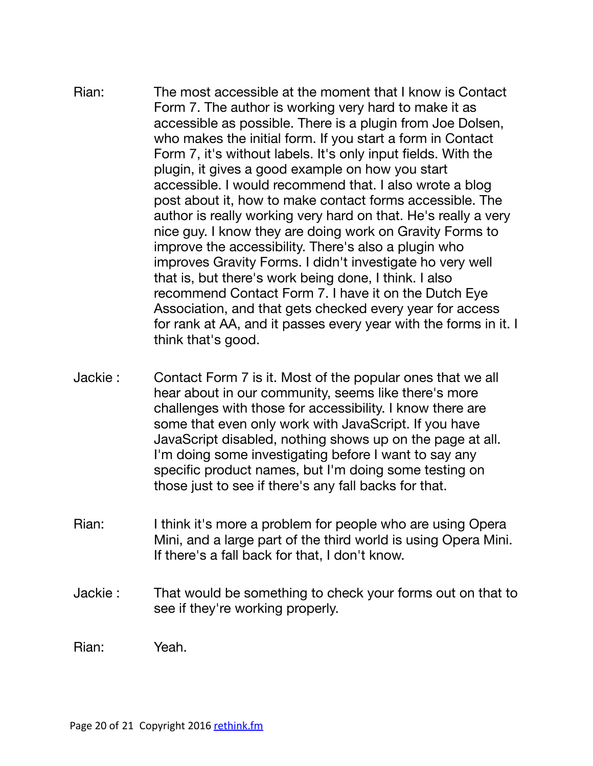- Rian: The most accessible at the moment that I know is Contact Form 7. The author is working very hard to make it as accessible as possible. There is a plugin from Joe Dolsen, who makes the initial form. If you start a form in Contact Form 7, it's without labels. It's only input fields. With the plugin, it gives a good example on how you start accessible. I would recommend that. I also wrote a blog post about it, how to make contact forms accessible. The author is really working very hard on that. He's really a very nice guy. I know they are doing work on Gravity Forms to improve the accessibility. There's also a plugin who improves Gravity Forms. I didn't investigate ho very well that is, but there's work being done, I think. I also recommend Contact Form 7. I have it on the Dutch Eye Association, and that gets checked every year for access for rank at AA, and it passes every year with the forms in it. I think that's good.
- Jackie : Contact Form 7 is it. Most of the popular ones that we all hear about in our community, seems like there's more challenges with those for accessibility. I know there are some that even only work with JavaScript. If you have JavaScript disabled, nothing shows up on the page at all. I'm doing some investigating before I want to say any specific product names, but I'm doing some testing on those just to see if there's any fall backs for that.
- Rian: I think it's more a problem for people who are using Opera Mini, and a large part of the third world is using Opera Mini. If there's a fall back for that, I don't know.
- Jackie : That would be something to check your forms out on that to see if they're working properly.

Rian: Yeah.